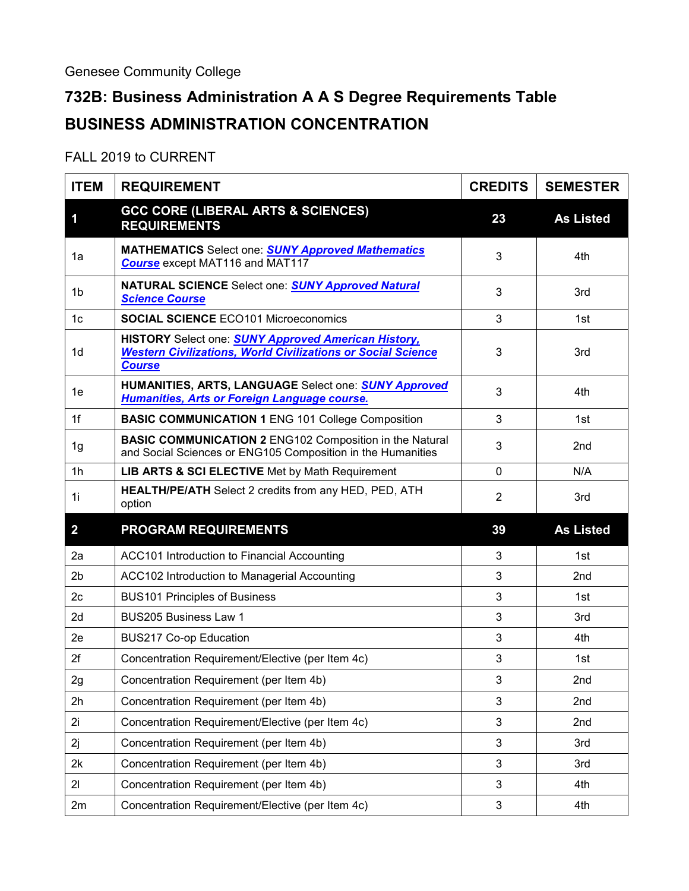## **732B: Business Administration A A S Degree Requirements Table BUSINESS ADMINISTRATION CONCENTRATION**

## FALL 2019 to CURRENT

| <b>ITEM</b>    | <b>REQUIREMENT</b>                                                                                                                                 | <b>CREDITS</b> | <b>SEMESTER</b>  |
|----------------|----------------------------------------------------------------------------------------------------------------------------------------------------|----------------|------------------|
| 1              | <b>GCC CORE (LIBERAL ARTS &amp; SCIENCES)</b><br><b>REQUIREMENTS</b>                                                                               | 23             | <b>As Listed</b> |
| 1a             | <b>MATHEMATICS</b> Select one: <b>SUNY Approved Mathematics</b><br><b>Course</b> except MAT116 and MAT117                                          | 3              | 4th              |
| 1b             | <b>NATURAL SCIENCE Select one: SUNY Approved Natural</b><br><b>Science Course</b>                                                                  | 3              | 3rd              |
| 1 <sub>c</sub> | <b>SOCIAL SCIENCE ECO101 Microeconomics</b>                                                                                                        | 3              | 1st              |
| 1 <sub>d</sub> | HISTORY Select one: <b>SUNY Approved American History,</b><br><b>Western Civilizations, World Civilizations or Social Science</b><br><b>Course</b> | 3              | 3rd              |
| 1e             | HUMANITIES, ARTS, LANGUAGE Select one: SUNY Approved<br><b>Humanities, Arts or Foreign Language course.</b>                                        | 3              | 4th              |
| 1f             | <b>BASIC COMMUNICATION 1 ENG 101 College Composition</b>                                                                                           | 3              | 1st              |
| 1g             | <b>BASIC COMMUNICATION 2 ENG102 Composition in the Natural</b><br>and Social Sciences or ENG105 Composition in the Humanities                      | 3              | 2 <sub>nd</sub>  |
| 1 <sub>h</sub> | LIB ARTS & SCI ELECTIVE Met by Math Requirement                                                                                                    | $\mathbf 0$    | N/A              |
| 1i             | HEALTH/PE/ATH Select 2 credits from any HED, PED, ATH<br>option                                                                                    | $\overline{2}$ | 3rd              |
| $\overline{2}$ | <b>PROGRAM REQUIREMENTS</b>                                                                                                                        | 39             | <b>As Listed</b> |
| 2a             | ACC101 Introduction to Financial Accounting                                                                                                        | 3              | 1st              |
| 2 <sub>b</sub> | ACC102 Introduction to Managerial Accounting                                                                                                       | 3              | 2nd              |
| 2 <sub>c</sub> | <b>BUS101 Principles of Business</b>                                                                                                               | 3              | 1st              |
| 2d             | <b>BUS205 Business Law 1</b>                                                                                                                       | 3              | 3rd              |
| 2e             | <b>BUS217 Co-op Education</b>                                                                                                                      | 3              | 4th              |
| 2f             | Concentration Requirement/Elective (per Item 4c)                                                                                                   | 3              | 1st              |
| 2g             | Concentration Requirement (per Item 4b)                                                                                                            | 3              | 2nd              |
| 2h             | Concentration Requirement (per Item 4b)                                                                                                            | 3              | 2nd              |
| 2i             | Concentration Requirement/Elective (per Item 4c)                                                                                                   | 3              | 2nd              |
| 2j             | Concentration Requirement (per Item 4b)                                                                                                            | 3              | 3rd              |
| 2k             | Concentration Requirement (per Item 4b)                                                                                                            | 3              | 3rd              |
| 21             | Concentration Requirement (per Item 4b)                                                                                                            | 3              | 4th              |
| 2m             | Concentration Requirement/Elective (per Item 4c)                                                                                                   | $\mathbf{3}$   | 4th              |